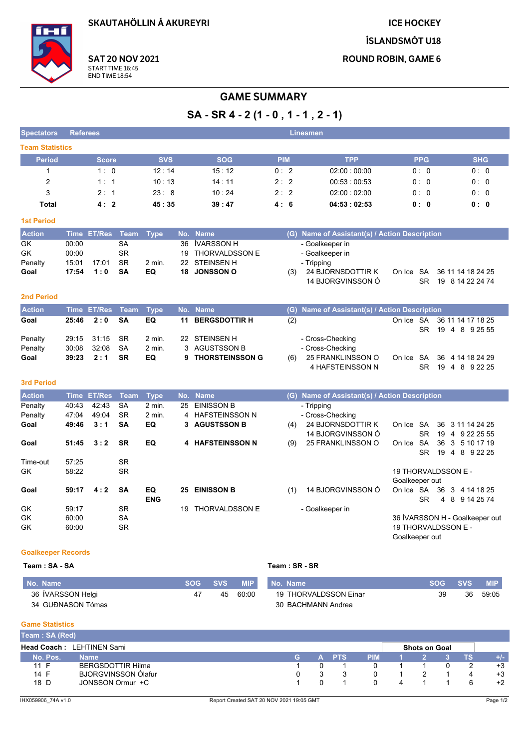**SKAUTAHÖLLIN Á AKUREYRI** 

**ICE HOCKEY** 

**ÍSLANDSMÓT U18** 

**ROUND ROBIN. GAME 6** 



GK

GK

GK

GK

GK

GK

 $+3$ 

 $+3$ 

 $+2$ 

**MIP** 

59:05